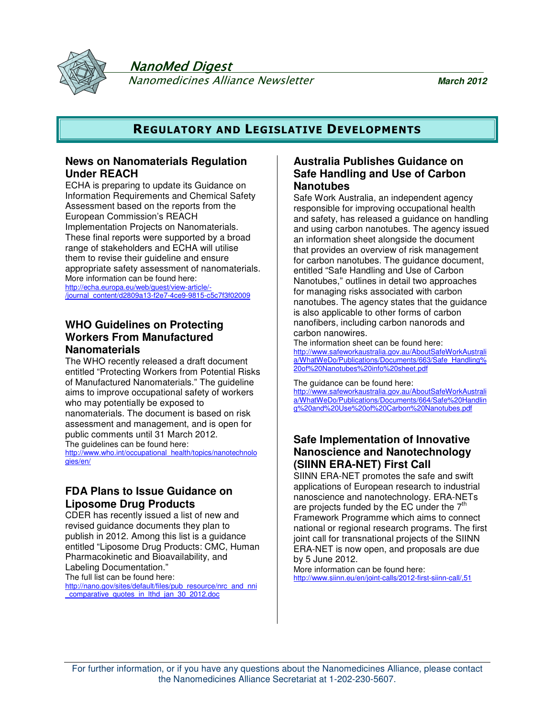

NanoMed Digest

Nanomedicines Alliance Newsletter **March 2012**

## **REGULATORY AND LEGISLATIVE DEVELOPMENTS**

## **News on Nanomaterials Regulation Under REACH**

ECHA is preparing to update its Guidance on Information Requirements and Chemical Safety Assessment based on the reports from the European Commission's REACH Implementation Projects on Nanomaterials. These final reports were supported by a broad range of stakeholders and ECHA will utilise them to revise their guideline and ensure appropriate safety assessment of nanomaterials. More information can be found here:

http://echa.europa.eu/web/guest/view-article/- /journal\_content/d2809a13-f2e7-4ce9-9815-c5c7f3f02009

## **WHO Guidelines on Protecting Workers From Manufactured Nanomaterials**

The WHO recently released a draft document entitled "Protecting Workers from Potential Risks of Manufactured Nanomaterials." The guideline aims to improve occupational safety of workers who may potentially be exposed to nanomaterials. The document is based on risk assessment and management, and is open for public comments until 31 March 2012. The guidelines can be found here: http://www.who.int/occupational\_health/topics/nanotechnolo gies/en/

## **FDA Plans to Issue Guidance on Liposome Drug Products**

CDER has recently issued a list of new and revised guidance documents they plan to publish in 2012. Among this list is a guidance entitled "Liposome Drug Products: CMC, Human Pharmacokinetic and Bioavailability, and Labeling Documentation."

The full list can be found here: http://nano.gov/sites/default/files/pub\_resource/nrc\_and\_nni comparative quotes in lthd jan 30 2012.doc

## **Australia Publishes Guidance on Safe Handling and Use of Carbon Nanotubes**

Safe Work Australia, an independent agency responsible for improving occupational health and safety, has released a guidance on handling and using carbon nanotubes. The agency issued an information sheet alongside the document that provides an overview of risk management for carbon nanotubes. The guidance document, entitled "Safe Handling and Use of Carbon Nanotubes," outlines in detail two approaches for managing risks associated with carbon nanotubes. The agency states that the guidance is also applicable to other forms of carbon nanofibers, including carbon nanorods and carbon nanowires.

The information sheet can be found here: http://www.safeworkaustralia.gov.au/AboutSafeWorkAustrali a/WhatWeDo/Publications/Documents/663/Safe\_Handling% 20of%20Nanotubes%20info%20sheet.pdf

The guidance can be found here: http://www.safeworkaustralia.gov.au/AboutSafeWorkAustrali a/WhatWeDo/Publications/Documents/664/Safe%20Handlin g%20and%20Use%20of%20Carbon%20Nanotubes.pdf

## **Safe Implementation of Innovative Nanoscience and Nanotechnology (SIINN ERA-NET) First Call**

SIINN ERA-NET promotes the safe and swift applications of European research to industrial nanoscience and nanotechnology. ERA-NETs are projects funded by the EC under the  $7<sup>th</sup>$ Framework Programme which aims to connect national or regional research programs. The first ioint call for transnational projects of the SIINN ERA-NET is now open, and proposals are due by 5 June 2012.

More information can be found here: http://www.siinn.eu/en/joint-calls/2012-first-siinn-call/,51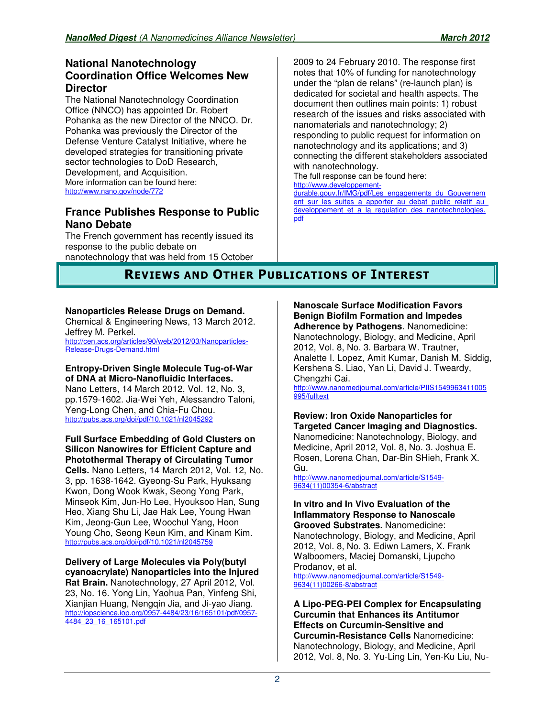## **National Nanotechnology Coordination Office Welcomes New Director**

The National Nanotechnology Coordination Office (NNCO) has appointed Dr. Robert Pohanka as the new Director of the NNCO. Dr. Pohanka was previously the Director of the Defense Venture Catalyst Initiative, where he developed strategies for transitioning private sector technologies to DoD Research, Development, and Acquisition. More information can be found here: http://www.nano.gov/node/772

## **France Publishes Response to Public Nano Debate**

The French government has recently issued its response to the public debate on nanotechnology that was held from 15 October 2009 to 24 February 2010. The response first notes that 10% of funding for nanotechnology under the "plan de relans" (re-launch plan) is dedicated for societal and health aspects. The document then outlines main points: 1) robust research of the issues and risks associated with nanomaterials and nanotechnology; 2) responding to public request for information on nanotechnology and its applications; and 3) connecting the different stakeholders associated with nanotechnology. The full response can be found here:

http://www.developpementdurable.gouv.fr/IMG/pdf/Les\_engagements\_du\_Gouvernem ent sur les suites a apporter au debat public relatif au developpement et a la regulation des nanotechnologies. pdf

# **REVIEWS AND OTHER PUBLICATIONS OF INTEREST**

## **Nanoparticles Release Drugs on Demand.**

Chemical & Engineering News, 13 March 2012. Jeffrey M. Perkel. http://cen.acs.org/articles/90/web/2012/03/Nanoparticles-Release-Drugs-Demand.html

#### **Entropy-Driven Single Molecule Tug-of-War of DNA at Micro-Nanofluidic Interfaces.** Nano Letters, 14 March 2012, Vol. 12, No. 3, pp.1579-1602. Jia-Wei Yeh, Alessandro Taloni, Yeng-Long Chen, and Chia-Fu Chou. http://pubs.acs.org/doi/pdf/10.1021/nl2045292

**Full Surface Embedding of Gold Clusters on Silicon Nanowires for Efficient Capture and Photothermal Therapy of Circulating Tumor Cells.** Nano Letters, 14 March 2012, Vol. 12, No. 3, pp. 1638-1642. Gyeong-Su Park, Hyuksang Kwon, Dong Wook Kwak, Seong Yong Park, Minseok Kim, Jun-Ho Lee, Hyouksoo Han, Sung Heo, Xiang Shu Li, Jae Hak Lee, Young Hwan Kim, Jeong-Gun Lee, Woochul Yang, Hoon Young Cho, Seong Keun Kim, and Kinam Kim. http://pubs.acs.org/doi/pdf/10.1021/nl2045759

**Delivery of Large Molecules via Poly(butyl cyanoacrylate) Nanoparticles into the Injured Rat Brain.** Nanotechnology, 27 April 2012, Vol. 23, No. 16. Yong Lin, Yaohua Pan, Yinfeng Shi, Xianjian Huang, Nengqin Jia, and Ji-yao Jiang. http://iopscience.iop.org/0957-4484/23/16/165101/pdf/0957- 4484\_23\_16\_165101.pdf

**Nanoscale Surface Modification Favors Benign Biofilm Formation and Impedes Adherence by Pathogens**. Nanomedicine: Nanotechnology, Biology, and Medicine, April

2012, Vol. 8, No. 3. Barbara W. Trautner, Analette I. Lopez, Amit Kumar, Danish M. Siddig, Kershena S. Liao, Yan Li, David J. Tweardy, Chengzhi Cai.

http://www.nanomedjournal.com/article/PIIS1549963411005 995/fulltext

#### **Review: Iron Oxide Nanoparticles for Targeted Cancer Imaging and Diagnostics.** Nanomedicine: Nanotechnology, Biology, and Medicine, April 2012, Vol. 8, No. 3. Joshua E. Rosen, Lorena Chan, Dar-Bin SHieh, Frank X. Gu.

http://www.nanomedjournal.com/article/S1549- 9634(11)00354-6/abstract

#### **In vitro and In Vivo Evaluation of the Inflammatory Response to Nanoscale Grooved Substrates.** Nanomedicine: Nanotechnology, Biology, and Medicine, April 2012, Vol. 8, No. 3. Ediwn Lamers, X. Frank Walboomers, Maciej Domanski, Ljupcho Prodanov, et al. http://www.nanomedjournal.com/article/S1549-

9634(11)00266-8/abstract

**A Lipo-PEG-PEI Complex for Encapsulating Curcumin that Enhances its Antitumor Effects on Curcumin-Sensitive and Curcumin-Resistance Cells** Nanomedicine: Nanotechnology, Biology, and Medicine, April 2012, Vol. 8, No. 3. Yu-Ling Lin, Yen-Ku Liu, Nu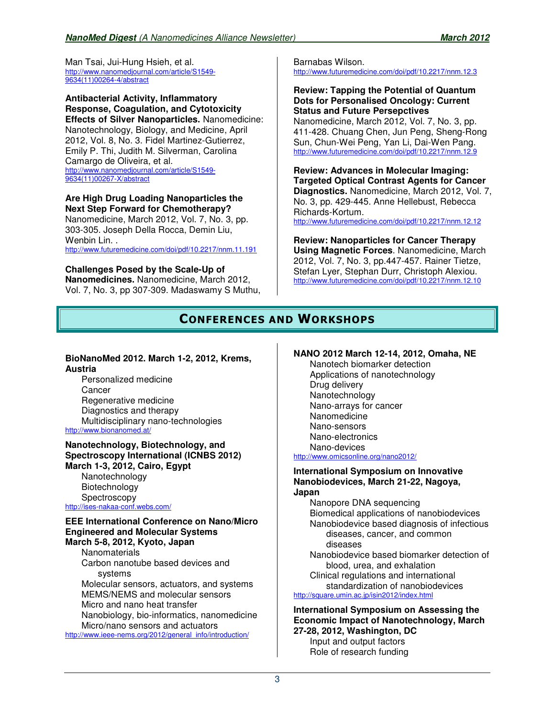Man Tsai, Jui-Hung Hsieh, et al. http://www.nanomedjournal.com/article/S1549- 9634(11)00264-4/abstract

**Antibacterial Activity, Inflammatory Response, Coagulation, and Cytotoxicity Effects of Silver Nanoparticles.** Nanomedicine: Nanotechnology, Biology, and Medicine, April 2012, Vol. 8, No. 3. Fidel Martinez-Gutierrez, Emily P. Thi, Judith M. Silverman, Carolina Camargo de Oliveira, et al. http://www.nanomedjournal.com/article/S1549- 9634(11)00267-X/abstract

**Are High Drug Loading Nanoparticles the Next Step Forward for Chemotherapy?** Nanomedicine, March 2012, Vol. 7, No. 3, pp.

303-305. Joseph Della Rocca, Demin Liu, Wenbin Lin. . http://www.futuremedicine.com/doi/pdf/10.2217/nnm.11.191

### **Challenges Posed by the Scale-Up of**

**Nanomedicines.** Nanomedicine, March 2012, Vol. 7, No. 3, pp 307-309. Madaswamy S Muthu,

Barnabas Wilson. http://www.futuremedicine.com/doi/pdf/10.2217/nnm.12.3

#### **Review: Tapping the Potential of Quantum Dots for Personalised Oncology: Current Status and Future Persepctives**

Nanomedicine, March 2012, Vol. 7, No. 3, pp. 411-428. Chuang Chen, Jun Peng, Sheng-Rong Sun, Chun-Wei Peng, Yan Li, Dai-Wen Pang. http://www.futuremedicine.com/doi/pdf/10.2217/nnm.12.9

**Review: Advances in Molecular Imaging: Targeted Optical Contrast Agents for Cancer Diagnostics.** Nanomedicine, March 2012, Vol. 7, No. 3, pp. 429-445. Anne Hellebust, Rebecca Richards-Kortum.

http://www.futuremedicine.com/doi/pdf/10.2217/nnm.12.12

#### **Review: Nanoparticles for Cancer Therapy**

**Using Magnetic Forces**. Nanomedicine, March 2012, Vol. 7, No. 3, pp.447-457. Rainer Tietze, Stefan Lyer, Stephan Durr, Christoph Alexiou. http://www.futuremedicine.com/doi/pdf/10.2217/nnm.12.10

# **CONFERENCES AND WORKSHOPS**

## **BioNanoMed 2012. March 1-2, 2012, Krems, Austria**

Personalized medicine **Cancer** Regenerative medicine Diagnostics and therapy Multidisciplinary nano-technologies http://www.bionanomed.at/

#### **Nanotechnology, Biotechnology, and Spectroscopy International (ICNBS 2012) March 1-3, 2012, Cairo, Egypt**  Nanotechnology Biotechnology Spectroscopy

http://ises-nakaa-conf.webs.com/

#### **EEE International Conference on Nano/Micro Engineered and Molecular Systems March 5-8, 2012, Kyoto, Japan**

**Nanomaterials** Carbon nanotube based devices and systems Molecular sensors, actuators, and systems MEMS/NEMS and molecular sensors Micro and nano heat transfer Nanobiology, bio-informatics, nanomedicine Micro/nano sensors and actuators

http://www.ieee-nems.org/2012/general\_info/introduction/

## **NANO 2012 March 12-14, 2012, Omaha, NE**

Nanotech biomarker detection Applications of nanotechnology Drug delivery Nanotechnology Nano-arrays for cancer Nanomedicine Nano-sensors Nano-electronics Nano-devices http://www.omicsonline.org/nano2012/

#### **International Symposium on Innovative Nanobiodevices, March 21-22, Nagoya, Japan**

Nanopore DNA sequencing Biomedical applications of nanobiodevices

Nanobiodevice based diagnosis of infectious diseases, cancer, and common diseases

Nanobiodevice based biomarker detection of blood, urea, and exhalation Clinical regulations and international

standardization of nanobiodevices http://square.umin.ac.jp/isin2012/index.html

**International Symposium on Assessing the Economic Impact of Nanotechnology, March 27-28, 2012, Washington, DC**

Input and output factors Role of research funding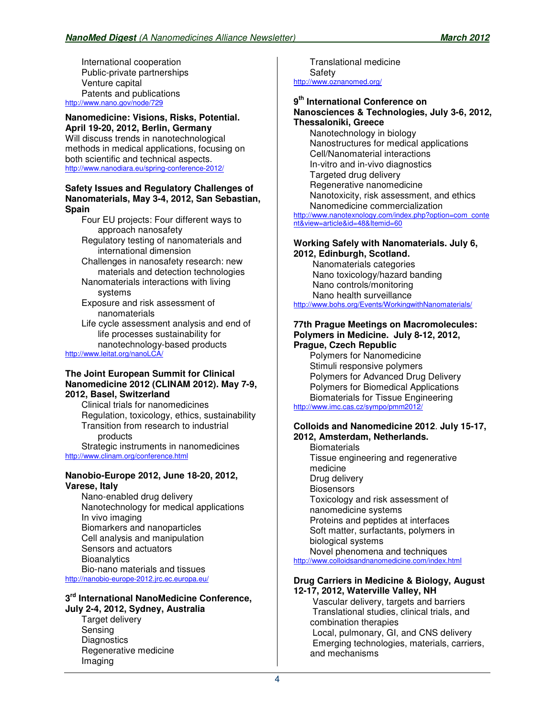International cooperation Public-private partnerships Venture capital Patents and publications http://www.nano.gov/node/729

#### **Nanomedicine: Visions, Risks, Potential. April 19-20, 2012, Berlin, Germany**

Will discuss trends in nanotechnological methods in medical applications, focusing on both scientific and technical aspects. http://www.nanodiara.eu/spring-conference-2012/

#### **Safety Issues and Regulatory Challenges of Nanomaterials, May 3-4, 2012, San Sebastian, Spain**

Four EU projects: Four different ways to approach nanosafety

- Regulatory testing of nanomaterials and international dimension
- Challenges in nanosafety research: new materials and detection technologies
- Nanomaterials interactions with living systems
- Exposure and risk assessment of nanomaterials
- Life cycle assessment analysis and end of life processes sustainability for nanotechnology-based products

http://www.leitat.org/nanoLCA/

#### **The Joint European Summit for Clinical Nanomedicine 2012 (CLINAM 2012). May 7-9, 2012, Basel, Switzerland**

Clinical trials for nanomedicines Regulation, toxicology, ethics, sustainability Transition from research to industrial products Strategic instruments in nanomedicines

http://www.clinam.org/conference.html

#### **Nanobio-Europe 2012, June 18-20, 2012, Varese, Italy**

Nano-enabled drug delivery Nanotechnology for medical applications In vivo imaging Biomarkers and nanoparticles Cell analysis and manipulation Sensors and actuators **Bioanalytics** Bio-nano materials and tissues http://nanobio-europe-2012.jrc.ec.europa.eu/

## **3 rd International NanoMedicine Conference,**

**July 2-4, 2012, Sydney, Australia** Target delivery Sensing **Diagnostics** Regenerative medicine Imaging

Translational medicine Safety http://www.oznanomed.org/

## **9 th International Conference on**

#### **Nanosciences & Technologies, July 3-6, 2012, Thessaloniki, Greece**

Nanotechnology in biology Nanostructures for medical applications Cell/Nanomaterial interactions In-vitro and in-vivo diagnostics Targeted drug delivery Regenerative nanomedicine Nanotoxicity, risk assessment, and ethics Nanomedicine commercialization

http://www.nanotexnology.com/index.php?option=com\_conte nt&view=article&id=48&Itemid=60

#### **Working Safely with Nanomaterials. July 6, 2012, Edinburgh, Scotland.**

 Nanomaterials categories Nano toxicology/hazard banding Nano controls/monitoring Nano health surveillance http://www.bohs.org/Events/WorkingwithNanomaterials/

#### **77th Prague Meetings on Macromolecules: Polymers in Medicine. July 8-12, 2012, Prague, Czech Republic**

Polymers for Nanomedicine Stimuli responsive polymers Polymers for Advanced Drug Delivery Polymers for Biomedical Applications Biomaterials for Tissue Engineering http://www.imc.cas.cz/sympo/pmm2012/

#### **Colloids and Nanomedicine 2012**. **July 15-17, 2012, Amsterdam, Netherlands.**

**Biomaterials** Tissue engineering and regenerative medicine Drug delivery **Biosensors** Toxicology and risk assessment of nanomedicine systems Proteins and peptides at interfaces Soft matter, surfactants, polymers in biological systems Novel phenomena and techniques

http://www.colloidsandnanomedicine.com/index.html

#### **Drug Carriers in Medicine & Biology, August 12-17, 2012, Waterville Valley, NH**

 Vascular delivery, targets and barriers Translational studies, clinical trials, and combination therapies Local, pulmonary, GI, and CNS delivery Emerging technologies, materials, carriers, and mechanisms